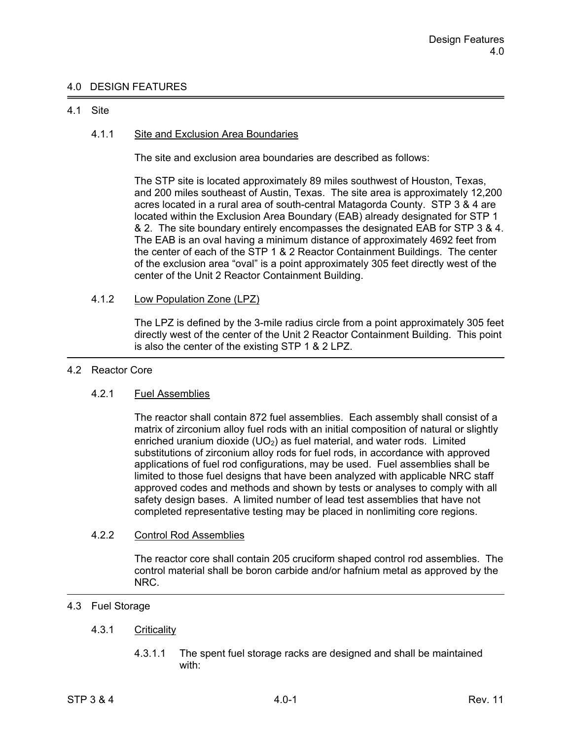# 4.0 DESIGN FEATURES

### 4.1 Site

## 4.1.1 Site and Exclusion Area Boundaries

The site and exclusion area boundaries are described as follows:

The STP site is located approximately 89 miles southwest of Houston, Texas, and 200 miles southeast of Austin, Texas. The site area is approximately 12,200 acres located in a rural area of south-central Matagorda County. STP 3 & 4 are located within the Exclusion Area Boundary (EAB) already designated for STP 1 & 2. The site boundary entirely encompasses the designated EAB for STP 3 & 4. The EAB is an oval having a minimum distance of approximately 4692 feet from the center of each of the STP 1 & 2 Reactor Containment Buildings. The center of the exclusion area "oval" is a point approximately 305 feet directly west of the center of the Unit 2 Reactor Containment Building.

## 4.1.2 Low Population Zone (LPZ)

 The LPZ is defined by the 3-mile radius circle from a point approximately 305 feet directly west of the center of the Unit 2 Reactor Containment Building. This point is also the center of the existing STP 1 & 2 LPZ.

#### 4.2 Reactor Core

## 4.2.1 Fuel Assemblies

 The reactor shall contain 872 fuel assemblies. Each assembly shall consist of a matrix of zirconium alloy fuel rods with an initial composition of natural or slightly enriched uranium dioxide (UO<sub>2</sub>) as fuel material, and water rods. Limited substitutions of zirconium alloy rods for fuel rods, in accordance with approved applications of fuel rod configurations, may be used. Fuel assemblies shall be limited to those fuel designs that have been analyzed with applicable NRC staff approved codes and methods and shown by tests or analyses to comply with all safety design bases. A limited number of lead test assemblies that have not completed representative testing may be placed in nonlimiting core regions.

#### 4.2.2 Control Rod Assemblies

 The reactor core shall contain 205 cruciform shaped control rod assemblies. The control material shall be boron carbide and/or hafnium metal as approved by the NRC.

# 4.3 Fuel Storage

## 4.3.1 Criticality

 4.3.1.1 The spent fuel storage racks are designed and shall be maintained with: